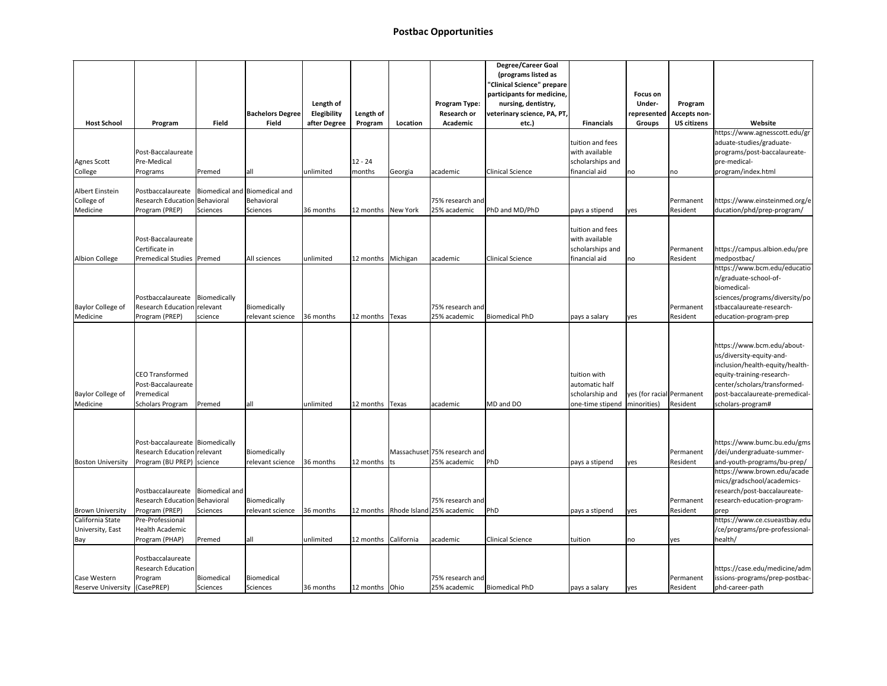## **Postbac Opportunities**

| <b>Host School</b>                                                     | Program                                                                                                | <b>Field</b>           | <b>Bachelors Degree</b><br><b>Field</b> | Length of<br>Elegibility<br>after Degree | Length of<br>Program | Location | <b>Program Type:</b><br><b>Research or</b><br>Academic | <b>Degree/Career Goal</b><br>(programs listed as<br>"Clinical Science" prepare<br>participants for medicine,<br>nursing, dentistry,<br>veterinary science, PA, PT,<br>etc.) | <b>Financials</b>                                                                   | <b>Focus on</b><br><b>Under-</b><br>represented<br><b>Groups</b> | Program<br>Accepts non-<br><b>US citizens</b> | Website                                                                                                                                                                                                       |
|------------------------------------------------------------------------|--------------------------------------------------------------------------------------------------------|------------------------|-----------------------------------------|------------------------------------------|----------------------|----------|--------------------------------------------------------|-----------------------------------------------------------------------------------------------------------------------------------------------------------------------------|-------------------------------------------------------------------------------------|------------------------------------------------------------------|-----------------------------------------------|---------------------------------------------------------------------------------------------------------------------------------------------------------------------------------------------------------------|
| <b>Agnes Scott</b>                                                     | Post-Baccalaureate<br>Pre-Medical                                                                      |                        |                                         |                                          | $12 - 24$            |          |                                                        |                                                                                                                                                                             | tuition and fees<br>with available<br>scholarships and                              |                                                                  |                                               | https://www.agnesscott.edu/gr<br>aduate-studies/graduate-<br>programs/post-baccalaureate-<br>pre-medical-                                                                                                     |
| College                                                                | Programs                                                                                               | Premed                 | all                                     | unlimited                                | months               | Georgia  | academic                                               | <b>Clinical Science</b>                                                                                                                                                     | financial aid                                                                       | no                                                               | no                                            | program/index.html                                                                                                                                                                                            |
| Albert Einstein<br>College of<br>Medicine                              | Postbaccalaureate   Biomedical and   Biomedical and<br>Research Education Behavioral<br>Program (PREP) | Sciences               | Behavioral<br>Sciences                  | 36 months                                | 12 months New York   |          | 75% research and<br>25% academic                       | PhD and MD/PhD                                                                                                                                                              | pays a stipend                                                                      | yes                                                              | Permanent<br>Resident                         | https://www.einsteinmed.org/e<br>ducation/phd/prep-program/                                                                                                                                                   |
| <b>Albion College</b>                                                  | Post-Baccalaureate<br>Certificate in<br>Premedical Studies   Premed                                    |                        | All sciences                            | unlimited                                | 12 months   Michigan |          | academic                                               | <b>Clinical Science</b>                                                                                                                                                     | tuition and fees<br>with available<br>scholarships and<br>financial aid             | no                                                               | Permanent<br>Resident                         | https://campus.albion.edu/pre<br>medpostbac/                                                                                                                                                                  |
| <b>Baylor College of</b><br>Medicine                                   | Postbaccalaureate Biomedically<br>Research Education relevant<br>Program (PREP)                        | science                | Biomedically<br>relevant science        | 36 months                                | 12 months   Texas    |          | 75% research and<br>25% academic                       | Biomedical PhD                                                                                                                                                              | pays a salary                                                                       | lyes                                                             | Permanent<br>Resident                         | https://www.bcm.edu/educatio<br>n/graduate-school-of-<br>biomedical-<br>sciences/programs/diversity/po<br>stbaccalaureate-research-<br>education-program-prep                                                 |
| <b>Baylor College of</b><br>Medicine                                   | <b>CEO Transformed</b><br>Post-Baccalaureate<br>Premedical<br>Scholars Program                         | Premed                 | all                                     | unlimited                                | 12 months   Texas    |          | academic                                               | MD and DO                                                                                                                                                                   | tuition with<br>automatic half<br>scholarship and<br>one-time stipend   minorities) | yes (for racial Permanent                                        | Resident                                      | https://www.bcm.edu/about-<br>us/diversity-equity-and-<br>inclusion/health-equity/health-<br>equity-training-research-<br>center/scholars/transformed-<br>post-baccalaureate-premedical-<br>scholars-program# |
| <b>Boston University</b>                                               | Post-baccalaureate   Biomedically<br>Research Education relevant<br>Program (BU PREP)   science        |                        | Biomedically<br>relevant science        | 36 months                                | 12 months $ ts $     |          | Massachuset 75% research and<br>25% academic           | PhD                                                                                                                                                                         | pays a stipend                                                                      | yes                                                              | Permanent<br>Resident                         | https://www.bumc.bu.edu/gms<br>/dei/undergraduate-summer-<br>and-youth-programs/bu-prep/                                                                                                                      |
|                                                                        | Postbaccalaureate   Biomedical and<br>Research Education Behavioral                                    |                        | Biomedically                            |                                          |                      |          | 75% research and                                       |                                                                                                                                                                             |                                                                                     |                                                                  | Permanent                                     | https://www.brown.edu/acade<br>mics/gradschool/academics-<br>research/post-baccalaureate-<br>research-education-program-                                                                                      |
| <b>Brown University</b><br>California State<br>University, East<br>Bay | Program (PREP)<br>Pre-Professional<br>Health Academic<br>Program (PHAP)                                | Sciences<br>Premed     | relevant science<br>all                 | 36 months<br>unlimited                   | 12 months California |          | 12 months   Rhode Island 25% academic<br>academic      | PhD<br>Clinical Science                                                                                                                                                     | pays a stipend<br>tuition                                                           | yes<br> no                                                       | Resident<br> yes                              | prep<br>https://www.ce.csueastbay.edu<br>/ce/programs/pre-professional-<br>health/                                                                                                                            |
| Case Western<br>Reserve University (CasePREP)                          | Postbaccalaureate<br><b>Research Education</b><br>Program                                              | Biomedical<br>Sciences | Biomedical<br>Sciences                  | 36 months                                | 12 months   Ohio     |          | 75% research and<br>25% academic                       | Biomedical PhD                                                                                                                                                              | pays a salary                                                                       | lyes                                                             | Permanent<br>Resident                         | https://case.edu/medicine/adm<br>issions-programs/prep-postbac-<br>phd-career-path                                                                                                                            |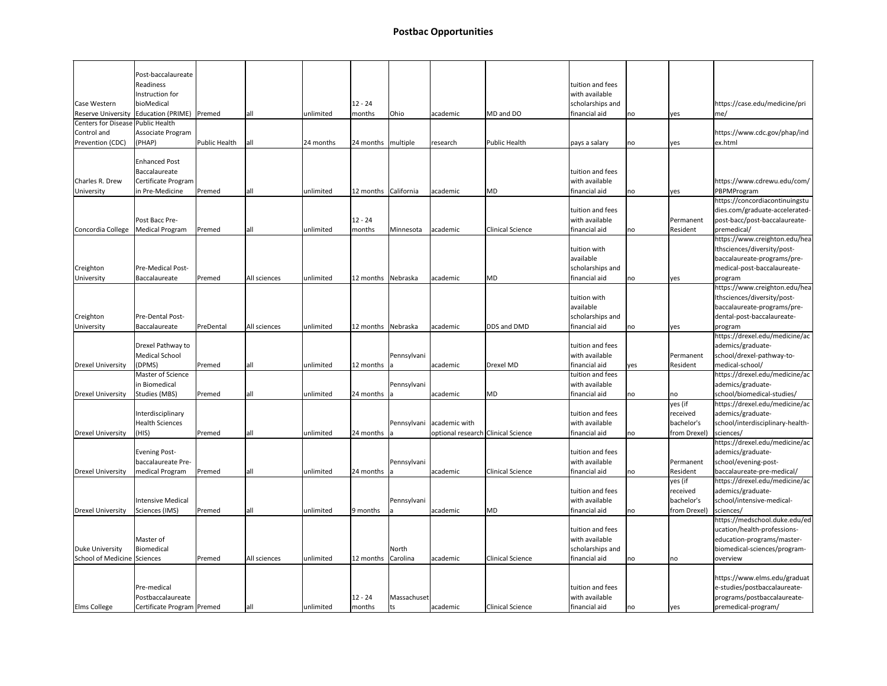| <b>Case Western</b><br>Centers for Disease Public Health<br>Control and<br>Prevention (CDC)<br>Charles R. Drew | Post-baccalaureate<br>Readiness<br>Instruction for<br>bioMedical<br>Reserve University   Education (PRIME)<br>Associate Program<br>(PHAP)<br><b>Enhanced Post</b><br>Baccalaureate | Premed<br>Public Health | lall<br> all | unlimited<br>24 months | $12 - 24$<br>months<br>24 months   multiple | Ohio               | academic<br>research               | MD and DO<br>Public Health | tuition and fees<br>with available<br>scholarships and<br>financial aid<br>pays a salary<br>tuition and fees<br>with available | no<br>no | <b>yes</b><br><b>yes</b>                          | https://case.edu/medicine/pri<br>$\vert$ me/<br>https://www.cdc.gov/phap/ind<br>ex.html                                               |
|----------------------------------------------------------------------------------------------------------------|------------------------------------------------------------------------------------------------------------------------------------------------------------------------------------|-------------------------|--------------|------------------------|---------------------------------------------|--------------------|------------------------------------|----------------------------|--------------------------------------------------------------------------------------------------------------------------------|----------|---------------------------------------------------|---------------------------------------------------------------------------------------------------------------------------------------|
|                                                                                                                | Certificate Program<br>in Pre-Medicine                                                                                                                                             |                         | all          |                        | 12 months California                        |                    | academic                           | MD                         | financial aid                                                                                                                  |          |                                                   | https://www.cdrewu.edu/com/                                                                                                           |
| University<br>Concordia College                                                                                | Post Bacc Pre-<br><b>Medical Program</b>                                                                                                                                           | Premed<br>Premed        | lall         | unlimited<br>unlimited | $12 - 24$<br>months                         | Minnesota          | academic                           | <b>Clinical Science</b>    | tuition and fees<br>with available<br>financial aid                                                                            | no<br>no | <b>yes</b><br>Permanent<br>Resident               | PBPMProgram<br>https://concordiacontinuingstu<br>dies.com/graduate-accelerated-<br>post-bacc/post-baccalaureate-<br>premedical/       |
| Creighton<br>University                                                                                        | <b>Pre-Medical Post-</b><br>Baccalaureate                                                                                                                                          | Premed                  | All sciences | unlimited              | 12 months Nebraska                          |                    | academic                           | MD                         | tuition with<br>available<br>scholarships and<br>financial aid                                                                 | no       | lyes                                              | https://www.creighton.edu/hea<br>Ithsciences/diversity/post-<br>baccalaureate-programs/pre-<br>medical-post-baccalaureate-<br>program |
| Creighton                                                                                                      | Pre-Dental Post-                                                                                                                                                                   |                         |              |                        |                                             |                    |                                    |                            | tuition with<br>available<br>scholarships and                                                                                  |          |                                                   | https://www.creighton.edu/hea<br>Ithsciences/diversity/post-<br>baccalaureate-programs/pre-<br>dental-post-baccalaureate-             |
| University                                                                                                     | Baccalaureate                                                                                                                                                                      | PreDental               | All sciences | unlimited              | 12 months Nebraska                          |                    | academic                           | DDS and DMD                | financial aid                                                                                                                  | no       | lves                                              | program                                                                                                                               |
|                                                                                                                | Drexel Pathway to<br>Medical School                                                                                                                                                |                         |              |                        |                                             | Pennsylvani        |                                    |                            | tuition and fees<br>with available                                                                                             |          | Permanent                                         | https://drexel.edu/medicine/ac<br>ademics/graduate-<br>school/drexel-pathway-to-                                                      |
| <b>Drexel University</b>                                                                                       | (DPMS)<br>Master of Science<br>in Biomedical                                                                                                                                       | Premed                  | all          | unlimited              | 12 months $ a $                             | Pennsylvani        | academic                           | Drexel MD                  | financial aid<br>tuition and fees<br>with available                                                                            | yes      | Resident                                          | medical-school/<br>https://drexel.edu/medicine/ac<br>ademics/graduate-                                                                |
| <b>Drexel University</b>                                                                                       | Studies (MBS)                                                                                                                                                                      | Premed                  | all          | unlimited              | 24 months                                   |                    | academic                           | MD                         | financial aid                                                                                                                  | no       | no                                                | school/biomedical-studies/                                                                                                            |
|                                                                                                                | Interdisciplinary<br><b>Health Sciences</b>                                                                                                                                        |                         |              |                        |                                             |                    | Pennsylvani academic with          |                            | tuition and fees<br>with available                                                                                             |          | yes (if<br>received<br>bachelor's                 | https://drexel.edu/medicine/ac<br>ademics/graduate-<br>school/interdisciplinary-health-                                               |
| <b>Drexel University</b>                                                                                       | (HIS)<br><b>Evening Post-</b><br>baccalaureate Pre-                                                                                                                                | Premed                  | all          | unlimited              | 24 months $ a$                              | Pennsylvani        | optional research Clinical Science |                            | financial aid<br>tuition and fees<br>with available                                                                            | no       | from Drexel)<br>Permanent                         | sciences/<br>https://drexel.edu/medicine/ac<br>ademics/graduate-<br>school/evening-post-                                              |
| <b>Drexel University</b>                                                                                       | medical Program                                                                                                                                                                    | Premed                  | all          | unlimited              | 24 months                                   |                    | academic                           | Clinical Science           | financial aid                                                                                                                  | no       | Resident                                          | baccalaureate-pre-medical/                                                                                                            |
| <b>Drexel University</b>                                                                                       | <b>Intensive Medical</b><br>Sciences (IMS)                                                                                                                                         | Premed                  | lall         | unlimited              | 9 months                                    | Pennsylvani        | academic                           | MD                         | tuition and fees<br>with available<br>financial aid                                                                            | no       | yes (if<br>received<br>bachelor's<br>from Drexel) | https://drexel.edu/medicine/ac<br>ademics/graduate-<br>school/intensive-medical-<br>sciences/                                         |
| Duke University                                                                                                | Master of<br>Biomedical                                                                                                                                                            |                         |              |                        |                                             | North              |                                    |                            | tuition and fees<br>with available<br>scholarships and                                                                         |          |                                                   | https://medschool.duke.edu/ed<br>ucation/health-professions-<br>education-programs/master-<br>biomedical-sciences/program-            |
| School of Medicine Sciences                                                                                    |                                                                                                                                                                                    | Premed                  | All sciences | unlimited              | 12 months Carolina                          |                    | academic                           | <b>Clinical Science</b>    | financial aid                                                                                                                  | no       | no                                                | overview                                                                                                                              |
| <b>Elms College</b>                                                                                            | Pre-medical<br>Postbaccalaureate<br>Certificate Program   Premed                                                                                                                   |                         | all          | unlimited              | $12 - 24$<br>months                         | Massachuset<br> ts | academic                           | <b>Clinical Science</b>    | tuition and fees<br>with available<br>financial aid                                                                            | no       | lyes                                              | https://www.elms.edu/graduat<br>e-studies/postbaccalaureate-<br>programs/postbaccalaureate-<br>premedical-program/                    |
|                                                                                                                |                                                                                                                                                                                    |                         |              |                        |                                             |                    |                                    |                            |                                                                                                                                |          |                                                   |                                                                                                                                       |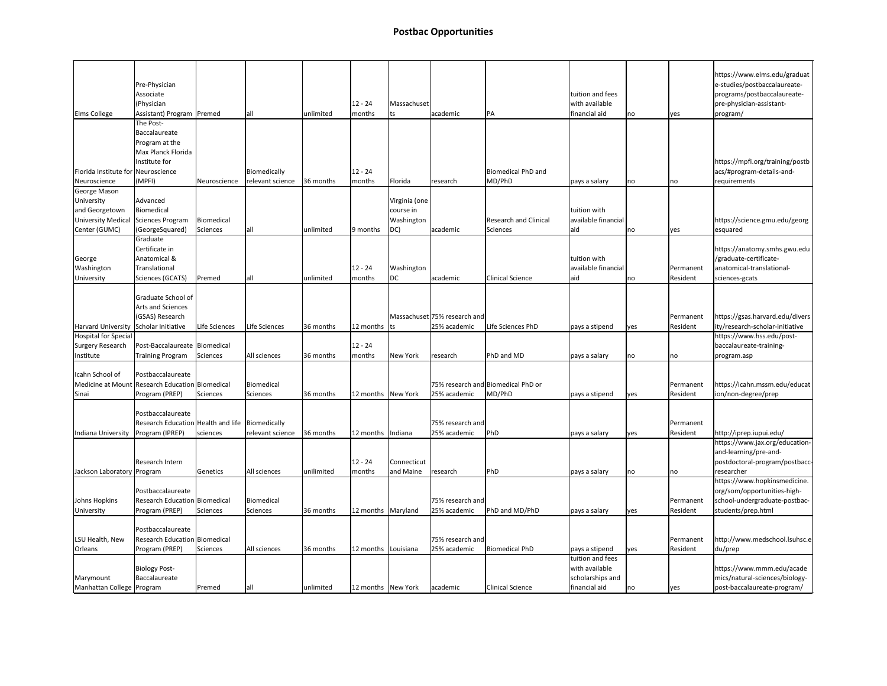|                                    | Pre-Physician                                                     |               |                  |            |                       |               |                              |                                    |                                    |      |           | https://www.elms.edu/graduat<br>e-studies/postbaccalaureate- |
|------------------------------------|-------------------------------------------------------------------|---------------|------------------|------------|-----------------------|---------------|------------------------------|------------------------------------|------------------------------------|------|-----------|--------------------------------------------------------------|
|                                    | Associate<br>(Physician                                           |               |                  |            | $12 - 24$             | Massachuset   |                              |                                    | tuition and fees<br>with available |      |           | programs/postbaccalaureate-<br>pre-physician-assistant-      |
| <b>Elms College</b>                | Assistant) Program   Premed                                       |               | lall             | unlimited  | months                | lts           | academic                     | PA                                 | financial aid                      | no   | yes       | program/                                                     |
|                                    | The Post-                                                         |               |                  |            |                       |               |                              |                                    |                                    |      |           |                                                              |
|                                    | Baccalaureate<br>Program at the                                   |               |                  |            |                       |               |                              |                                    |                                    |      |           |                                                              |
|                                    | Max Planck Florida                                                |               |                  |            |                       |               |                              |                                    |                                    |      |           |                                                              |
|                                    | Institute for                                                     |               |                  |            |                       |               |                              |                                    |                                    |      |           | https://mpfi.org/training/postb                              |
| Florida Institute for Neuroscience |                                                                   |               | Biomedically     |            | $12 - 24$             |               |                              | Biomedical PhD and                 |                                    |      |           | acs/#program-details-and-                                    |
| Neuroscience                       | (MPFI)                                                            | Neuroscience  | relevant science | 36 months  | months                | Florida       | research                     | MD/PhD                             | pays a salary                      | no   | no        | requirements                                                 |
| George Mason                       |                                                                   |               |                  |            |                       |               |                              |                                    |                                    |      |           |                                                              |
| University                         | Advanced                                                          |               |                  |            |                       | Virginia (one |                              |                                    |                                    |      |           |                                                              |
| and Georgetown                     | Biomedical                                                        |               |                  |            |                       | course in     |                              |                                    | tuition with                       |      |           |                                                              |
| <b>University Medical</b>          | Sciences Program                                                  | Biomedical    |                  |            |                       | Washington    |                              | <b>Research and Clinical</b>       | available financial                |      |           | https://science.gmu.edu/georg                                |
| Center (GUMC)                      | (GeorgeSquared)                                                   | Sciences      | all              | unlimited  | 9 months              | $ DC\rangle$  | academic                     | Sciences                           | aid                                | no   | yes       | esquared                                                     |
| George                             | <b>Graduate</b><br>Certificate in<br>Anatomical &                 |               |                  |            |                       |               |                              |                                    | tuition with                       |      |           | https://anatomy.smhs.gwu.edu<br>/graduate-certificate-       |
| Washington                         | Translational                                                     |               |                  |            | $12 - 24$             | Washington    |                              |                                    | available financial                |      | Permanent | anatomical-translational-                                    |
| University                         | Sciences (GCATS)                                                  | Premed        | all              | unlimited  | months                | DC            | academic                     | <b>Clinical Science</b>            | aid                                | no   | Resident  | sciences-gcats                                               |
|                                    | Graduate School of<br><b>Arts and Sciences</b><br>(GSAS) Research |               |                  |            |                       |               | Massachuset 75% research and |                                    |                                    |      | Permanent | https://gsas.harvard.edu/divers                              |
| <b>Harvard University</b>          | Scholar Initiative                                                | Life Sciences | Life Sciences    | 36 months  | 12 months $ ts $      |               | 25% academic                 | Life Sciences PhD                  | pays a stipend                     | lyes | Resident  | ity/research-scholar-initiative                              |
| <b>Hospital for Special</b>        |                                                                   |               |                  |            |                       |               |                              |                                    |                                    |      |           | https://www.hss.edu/post-                                    |
| <b>Surgery Research</b>            | Post-Baccalaureate   Biomedical                                   |               |                  |            | $12 - 24$             |               |                              |                                    |                                    |      |           | baccalaureate-training-                                      |
| Institute                          | <b>Training Program</b>                                           | Sciences      | All sciences     | 36 months  | months                | New York      | research                     | PhD and MD                         | pays a salary                      | no   | no        | program.asp                                                  |
|                                    |                                                                   |               |                  |            |                       |               |                              |                                    |                                    |      |           |                                                              |
| Icahn School of                    | Postbaccalaureate                                                 |               |                  |            |                       |               |                              |                                    |                                    |      |           |                                                              |
| Medicine at Mount                  | Research Education Biomedical                                     |               | Biomedical       |            |                       |               |                              | 75% research and Biomedical PhD or |                                    |      | Permanent | https://icahn.mssm.edu/educat                                |
| Sinai                              | Program (PREP)                                                    | Sciences      | Sciences         | 36 months  | 12 months   New York  |               | 25% academic                 | MD/PhD                             | pays a stipend                     | lyes | Resident  | ion/non-degree/prep                                          |
|                                    | Postbaccalaureate                                                 |               |                  |            |                       |               |                              |                                    |                                    |      |           |                                                              |
|                                    | Research Education Health and life   Biomedically                 |               |                  |            |                       |               | 75% research and             |                                    |                                    |      | Permanent |                                                              |
| Indiana University                 | Program (IPREP)                                                   | sciences      | relevant science | 36 months  | 12 months             | Indiana       | 25% academic                 | PhD                                | pays a salary                      | yes  | Resident  | http://iprep.iupui.edu/                                      |
|                                    |                                                                   |               |                  |            |                       |               |                              |                                    |                                    |      |           | https://www.jax.org/education-                               |
|                                    |                                                                   |               |                  |            |                       |               |                              |                                    |                                    |      |           | and-learning/pre-and-                                        |
|                                    | Research Intern                                                   |               |                  |            | $12 - 24$             | Connecticut   |                              |                                    |                                    |      |           | postdoctoral-program/postbacc-                               |
| Jackson Laboratory Program         |                                                                   | Genetics      | All sciences     | unilimited | months                | and Maine     | research                     | PhD                                | pays a salary                      | no   | no        | researcher                                                   |
|                                    |                                                                   |               |                  |            |                       |               |                              |                                    |                                    |      |           | https://www.hopkinsmedicine.                                 |
| Johns Hopkins                      | Postbaccalaureate<br><b>Research Education Biomedical</b>         |               | Biomedical       |            |                       |               | 75% research and             |                                    |                                    |      | Permanent | org/som/opportunities-high-<br>school-undergraduate-postbac- |
| University                         | Program (PREP)                                                    | Sciences      | Sciences         | 36 months  | 12 months   Maryland  |               | 25% academic                 | PhD and MD/PhD                     | pays a salary                      | lyes | Resident  | students/prep.html                                           |
|                                    |                                                                   |               |                  |            |                       |               |                              |                                    |                                    |      |           |                                                              |
|                                    | Postbaccalaureate                                                 |               |                  |            |                       |               |                              |                                    |                                    |      |           |                                                              |
| LSU Health, New                    | Research Education Biomedical                                     |               |                  |            |                       |               | 75% research and             |                                    |                                    |      | Permanent | http://www.medschool.lsuhsc.e                                |
| Orleans                            | Program (PREP)                                                    | Sciences      | All sciences     | 36 months  | 12 months   Louisiana |               | 25% academic                 | <b>Biomedical PhD</b>              | pays a stipend                     | yes  | Resident  | du/prep                                                      |
|                                    |                                                                   |               |                  |            |                       |               |                              |                                    | tuition and fees                   |      |           |                                                              |
|                                    | <b>Biology Post-</b>                                              |               |                  |            |                       |               |                              |                                    | with available                     |      |           | https://www.mmm.edu/acade                                    |
| Marymount                          | Baccalaureate                                                     |               |                  |            |                       |               |                              |                                    | scholarships and                   |      |           | mics/natural-sciences/biology-                               |
| Manhattan College   Program        |                                                                   | Premed        | lall             | unlimited  | 12 months   New York  |               | academic                     | Clinical Science                   | financial aid                      | no   | yes       | post-baccalaureate-program/                                  |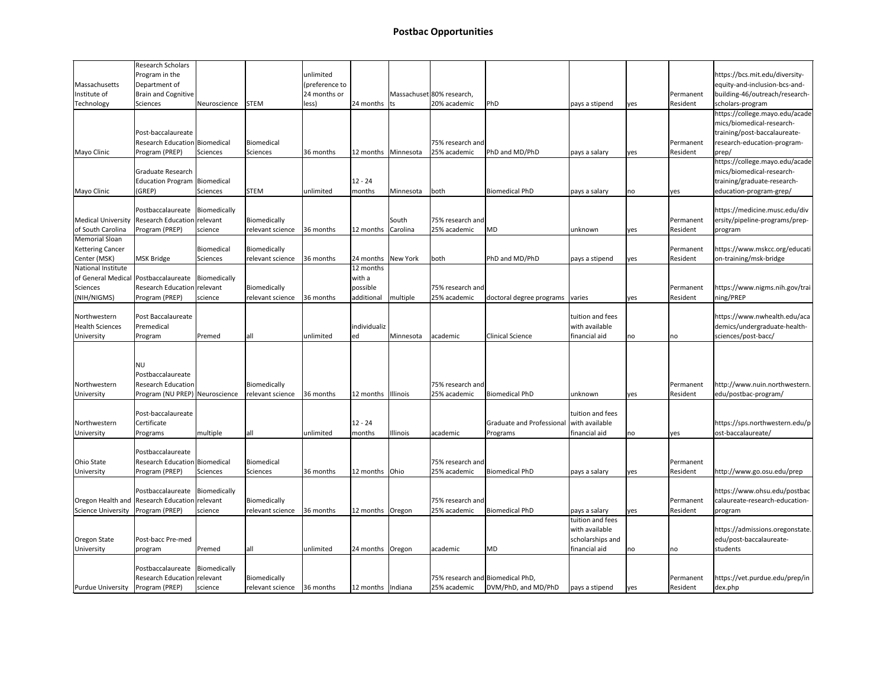|                           | <b>Research Scholars</b>                            |              |                  |                |                     |                       |                                  |                           |                                   |            |            |                                 |
|---------------------------|-----------------------------------------------------|--------------|------------------|----------------|---------------------|-----------------------|----------------------------------|---------------------------|-----------------------------------|------------|------------|---------------------------------|
|                           | Program in the                                      |              |                  | unlimited      |                     |                       |                                  |                           |                                   |            |            | https://bcs.mit.edu/diversity-  |
| Massachusetts             | Department of                                       |              |                  | (preference to |                     |                       |                                  |                           |                                   |            |            | equity-and-inclusion-bcs-and-   |
| Institute of              | <b>Brain and Cognitive</b>                          |              |                  | 24 months or   |                     |                       | Massachuset 80% research,        |                           |                                   |            | Permanent  | building-46/outreach/research-  |
| Technology                | <b>Sciences</b>                                     | Neuroscience | <b>STEM</b>      | less)          | $ 24$ months $ ts $ |                       | 20% academic                     | PhD                       | pays a stipend                    | yes        | Resident   | scholars-program                |
|                           |                                                     |              |                  |                |                     |                       |                                  |                           |                                   |            |            | https://college.mayo.edu/acade  |
|                           |                                                     |              |                  |                |                     |                       |                                  |                           |                                   |            |            | mics/biomedical-research-       |
|                           | Post-baccalaureate                                  |              |                  |                |                     |                       |                                  |                           |                                   |            |            | training/post-baccalaureate-    |
|                           | <b>Research Education Biomedical</b>                |              | Biomedical       |                |                     |                       | 75% research and                 |                           |                                   |            | Permanent  | research-education-program-     |
| Mayo Clinic               | Program (PREP)                                      |              |                  |                |                     |                       | 25% academic                     | PhD and MD/PhD            |                                   |            |            |                                 |
|                           |                                                     | Sciences     | Sciences         | 36 months      |                     | 12 months   Minnesota |                                  |                           | pays a salary                     | yes        | Resident   | $ $ prep/                       |
|                           |                                                     |              |                  |                |                     |                       |                                  |                           |                                   |            |            | https://college.mayo.edu/acade  |
|                           | Graduate Research                                   |              |                  |                |                     |                       |                                  |                           |                                   |            |            | mics/biomedical-research-       |
|                           | Education Program   Biomedical                      |              |                  |                | $12 - 24$           |                       |                                  |                           |                                   |            |            | training/graduate-research-     |
| Mayo Clinic               | (GREP)                                              | Sciences     | <b>STEM</b>      | unlimited      | months              | Minnesota             | both                             | Biomedical PhD            | pays a salary                     | no         | <b>yes</b> | education-program-grep/         |
|                           |                                                     |              |                  |                |                     |                       |                                  |                           |                                   |            |            |                                 |
|                           | Postbaccalaureate                                   | Biomedically |                  |                |                     |                       |                                  |                           |                                   |            |            | https://medicine.musc.edu/div   |
| <b>Medical University</b> | Research Education relevant                         |              | Biomedically     |                |                     | South                 | 75% research and                 |                           |                                   |            | Permanent  | ersity/pipeline-programs/prep-  |
| of South Carolina         | Program (PREP)                                      | science      | relevant science | 36 months      | 12 months           | Carolina              | 25% academic                     | MD.                       | unknown                           | yes        | Resident   | program                         |
| Memorial Sloan            |                                                     |              |                  |                |                     |                       |                                  |                           |                                   |            |            |                                 |
| <b>Kettering Cancer</b>   |                                                     | Biomedical   | Biomedically     |                |                     |                       |                                  |                           |                                   |            | Permanent  | https://www.mskcc.org/educati   |
| Center (MSK)              | MSK Bridge                                          | Sciences     | relevant science | 36 months      | 24 months New York  |                       | both                             | PhD and MD/PhD            | pays a stipend                    | <b>yes</b> | Resident   | on-training/msk-bridge          |
| National Institute        |                                                     |              |                  |                | 12 months           |                       |                                  |                           |                                   |            |            |                                 |
|                           | of General Medical Postbaccalaureate   Biomedically |              |                  |                | with a              |                       |                                  |                           |                                   |            |            |                                 |
| <b>Sciences</b>           | Research Education relevant                         |              | Biomedically     |                | possible            |                       | 75% research and                 |                           |                                   |            | Permanent  | https://www.nigms.nih.gov/trai  |
| (NIH/NIGMS)               | Program (PREP)                                      | science      | relevant science | 36 months      | additional          | multiple              | 25% academic                     | doctoral degree programs  | varies                            | lyes       | Resident   | ning/PREP                       |
|                           |                                                     |              |                  |                |                     |                       |                                  |                           |                                   |            |            |                                 |
|                           | Post Baccalaureate                                  |              |                  |                |                     |                       |                                  |                           | tuition and fees                  |            |            |                                 |
| Northwestern              |                                                     |              |                  |                |                     |                       |                                  |                           |                                   |            |            | https://www.nwhealth.edu/aca    |
| <b>Health Sciences</b>    | Premedical                                          |              |                  |                | individualiz        |                       |                                  |                           | with available                    |            |            | demics/undergraduate-health-    |
| University                | Program                                             | Premed       | all              | unlimited      | ed                  | Minnesota             | academic                         | <b>Clinical Science</b>   | financial aid                     | no         | no         | sciences/post-bacc/             |
|                           |                                                     |              |                  |                |                     |                       |                                  |                           |                                   |            |            |                                 |
|                           |                                                     |              |                  |                |                     |                       |                                  |                           |                                   |            |            |                                 |
|                           | <b>NU</b>                                           |              |                  |                |                     |                       |                                  |                           |                                   |            |            |                                 |
|                           | Postbaccalaureate                                   |              |                  |                |                     |                       |                                  |                           |                                   |            |            |                                 |
| Northwestern              | <b>Research Education</b>                           |              | Biomedically     |                |                     |                       | 75% research and                 |                           |                                   |            | Permanent  | http://www.nuin.northwestern.   |
| University                | Program (NU PREP) Neuroscience                      |              | relevant science | 36 months      | 12 months Illinois  |                       | 25% academic                     | Biomedical PhD            | unknown                           | lyes       | Resident   | edu/postbac-program/            |
|                           |                                                     |              |                  |                |                     |                       |                                  |                           |                                   |            |            |                                 |
|                           | Post-baccalaureate                                  |              |                  |                |                     |                       |                                  |                           | tuition and fees                  |            |            |                                 |
| Northwestern              | Certificate                                         |              |                  |                | $12 - 24$           |                       |                                  | Graduate and Professional | with available                    |            |            | https://sps.northwestern.edu/p  |
| University                | Programs                                            | multiple     | all              | unlimited      | months              | Illinois              | academic                         | Programs                  | financial aid                     | no         | <b>yes</b> | ost-baccalaureate/              |
|                           |                                                     |              |                  |                |                     |                       |                                  |                           |                                   |            |            |                                 |
|                           | Postbaccalaureate                                   |              |                  |                |                     |                       |                                  |                           |                                   |            |            |                                 |
| <b>Ohio State</b>         | Research Education Biomedical                       |              | Biomedical       |                |                     |                       | 75% research and                 |                           |                                   |            | Permanent  |                                 |
| University                | Program (PREP)                                      | Sciences     | Sciences         | 36 months      | 12 months Ohio      |                       | 25% academic                     | Biomedical PhD            | pays a salary                     | yes        | Resident   | http://www.go.osu.edu/prep      |
|                           |                                                     |              |                  |                |                     |                       |                                  |                           |                                   |            |            |                                 |
|                           | Postbaccalaureate                                   | Biomedically |                  |                |                     |                       |                                  |                           |                                   |            |            | https://www.ohsu.edu/postbac    |
|                           | Oregon Health and Research Education relevant       |              | Biomedically     |                |                     |                       | 75% research and                 |                           |                                   |            | Permanent  | calaureate-research-education-  |
|                           |                                                     |              |                  | 36 months      |                     |                       | 25% academic                     | Biomedical PhD            |                                   |            |            |                                 |
| Science University        | Program (PREP)                                      | science      | relevant science |                | 12 months   Oregon  |                       |                                  |                           | pays a salary<br>tuition and fees | yes        | Resident   | program                         |
|                           |                                                     |              |                  |                |                     |                       |                                  |                           |                                   |            |            |                                 |
|                           |                                                     |              |                  |                |                     |                       |                                  |                           | with available                    |            |            | https://admissions.oregonstate. |
| Oregon State              | Post-bacc Pre-med                                   |              |                  |                |                     |                       |                                  |                           | scholarships and                  |            |            | edu/post-baccalaureate-         |
| University                | program                                             | Premed       | all              | unlimited      | 24 months   Oregon  |                       | academic                         | MD.                       | financial aid                     | no         | no         | students                        |
|                           |                                                     |              |                  |                |                     |                       |                                  |                           |                                   |            |            |                                 |
|                           | Postbaccalaureate                                   | Biomedically |                  |                |                     |                       |                                  |                           |                                   |            |            |                                 |
|                           | <b>Research Education relevant</b>                  |              | Biomedically     |                |                     |                       | 75% research and Biomedical PhD, |                           |                                   |            | Permanent  | https://vet.purdue.edu/prep/in  |
| Purdue University         | Program (PREP)                                      | science      | relevant science | 36 months      | 12 months   Indiana |                       | 25% academic                     | DVM/PhD, and MD/PhD       | pays a stipend                    | lyes       | Resident   | dex.php                         |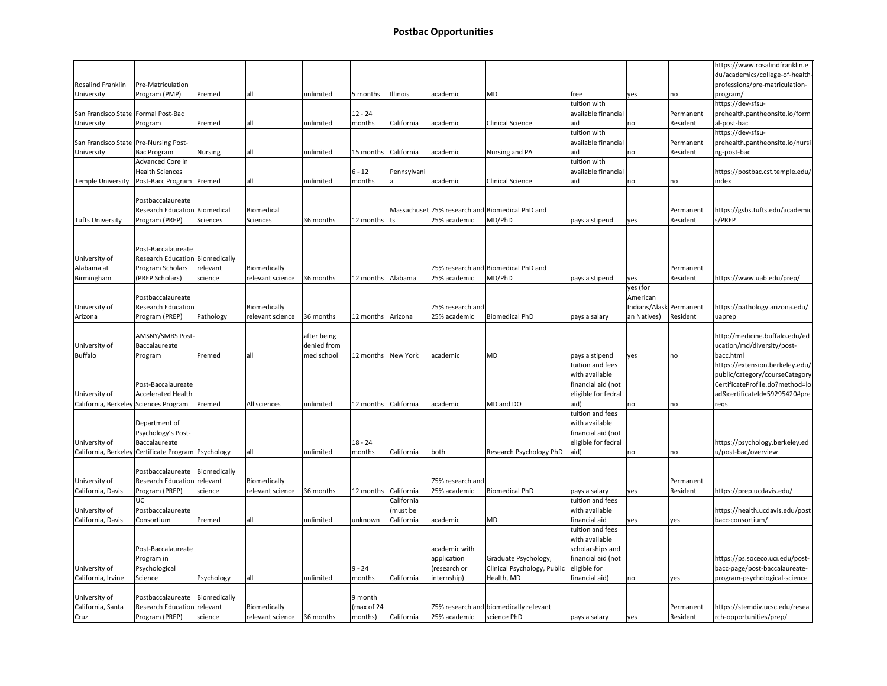|                                         |                                                     |              |                            |             |                      |             |                  |                                                 |                     |                         |            | https://www.rosalindfranklin.e  |
|-----------------------------------------|-----------------------------------------------------|--------------|----------------------------|-------------|----------------------|-------------|------------------|-------------------------------------------------|---------------------|-------------------------|------------|---------------------------------|
|                                         |                                                     |              |                            |             |                      |             |                  |                                                 |                     |                         |            | du/academics/college-of-health- |
| <b>Rosalind Franklin</b>                | Pre-Matriculation                                   |              |                            |             |                      |             |                  |                                                 |                     |                         |            | professions/pre-matriculation-  |
| University                              | Program (PMP)                                       | Premed       | lall                       | unlimited   | 5 months             | Illinois    | academic         | MD                                              | free                | lyes                    | no         | program/                        |
|                                         |                                                     |              |                            |             |                      |             |                  |                                                 | tuition with        |                         |            | https://dev-sfsu-               |
| San Francisco State   Formal Post-Bac   |                                                     |              |                            |             | 12 - 24              |             |                  |                                                 | available financial |                         | Permanent  | prehealth.pantheonsite.io/form  |
| University                              | Program                                             | Premed       | lall                       | unlimited   | months               | California  | academic         | Clinical Science                                | aid                 | no                      | Resident   | al-post-bac                     |
|                                         |                                                     |              |                            |             |                      |             |                  |                                                 | tuition with        |                         |            | https://dev-sfsu-               |
| San Francisco State   Pre-Nursing Post- |                                                     |              |                            |             |                      |             |                  |                                                 | available financial |                         | Permanent  | prehealth.pantheonsite.io/nursi |
| University                              | Bac Program                                         | Nursing      | lall                       | unlimited   | 15 months California |             | academic         | Nursing and PA                                  | aid                 | no                      | Resident   | ng-post-bac                     |
|                                         | Advanced Core in                                    |              |                            |             |                      |             |                  |                                                 | tuition with        |                         |            |                                 |
|                                         | <b>Health Sciences</b>                              |              |                            |             | $6 - 12$             | Pennsylvani |                  |                                                 | available financial |                         |            | https://postbac.cst.temple.edu/ |
| <b>Temple University</b>                | Post-Bacc Program   Premed                          |              | all                        | unlimited   | months               | ıа          | academic         | Clinical Science                                | aid                 | no                      | no         | index                           |
|                                         |                                                     |              |                            |             |                      |             |                  |                                                 |                     |                         |            |                                 |
|                                         | Postbaccalaureate                                   |              |                            |             |                      |             |                  |                                                 |                     |                         |            |                                 |
|                                         |                                                     |              |                            |             |                      |             |                  |                                                 |                     |                         |            |                                 |
|                                         | <b>Research Education Biomedical</b>                |              | Biomedical                 |             |                      |             |                  | Massachuset 75% research and Biomedical PhD and |                     |                         | Permanent  | https://gsbs.tufts.edu/academic |
| <b>Tufts University</b>                 | Program (PREP)                                      | Sciences     | Sciences                   | 36 months   | 12 months $ ts $     |             | 25% academic     | MD/PhD                                          | pays a stipend      | <b>yes</b>              | Resident   | s/PREP                          |
|                                         |                                                     |              |                            |             |                      |             |                  |                                                 |                     |                         |            |                                 |
|                                         |                                                     |              |                            |             |                      |             |                  |                                                 |                     |                         |            |                                 |
|                                         | Post-Baccalaureate                                  |              |                            |             |                      |             |                  |                                                 |                     |                         |            |                                 |
| University of                           | Research Education Biomedically                     |              |                            |             |                      |             |                  |                                                 |                     |                         |            |                                 |
| Alabama at                              | Program Scholars                                    | relevant     | Biomedically               |             |                      |             |                  | 75% research and Biomedical PhD and             |                     |                         | Permanent  |                                 |
| Birmingham                              | (PREP Scholars)                                     | science      | relevant science           | 36 months   | 12 months   Alabama  |             | 25% academic     | MD/PhD                                          | pays a stipend      | lyes                    | Resident   | https://www.uab.edu/prep/       |
|                                         |                                                     |              |                            |             |                      |             |                  |                                                 |                     | yes (for                |            |                                 |
|                                         | Postbaccalaureate                                   |              |                            |             |                      |             |                  |                                                 |                     | American                |            |                                 |
| University of                           | <b>Research Education</b>                           |              | Biomedically               |             |                      |             | 75% research and |                                                 |                     | Indians/Alask Permanent |            | https://pathology.arizona.edu/  |
| Arizona                                 | Program (PREP)                                      | Pathology    | relevant science           | 36 months   | 12 months   Arizona  |             | 25% academic     | Biomedical PhD                                  | pays a salary       | an Natives)             | Resident   | uaprep                          |
|                                         |                                                     |              |                            |             |                      |             |                  |                                                 |                     |                         |            |                                 |
|                                         | AMSNY/SMBS Post-                                    |              |                            | after being |                      |             |                  |                                                 |                     |                         |            | http://medicine.buffalo.edu/ed  |
|                                         |                                                     |              |                            |             |                      |             |                  |                                                 |                     |                         |            |                                 |
| University of                           | Baccalaureate                                       |              |                            | denied from |                      |             |                  |                                                 |                     |                         |            | ucation/md/diversity/post-      |
| <b>Buffalo</b>                          | Program                                             | Premed       | lall                       | med school  | 12 months New York   |             | academic         | MD                                              | pays a stipend      | lyes                    | no         | bacc.html                       |
|                                         |                                                     |              |                            |             |                      |             |                  |                                                 | tuition and fees    |                         |            | https://extension.berkeley.edu/ |
|                                         |                                                     |              |                            |             |                      |             |                  |                                                 | with available      |                         |            | public/category/courseCategory  |
|                                         | Post-Baccalaureate                                  |              |                            |             |                      |             |                  |                                                 | financial aid (not  |                         |            | CertificateProfile.do?method=lo |
| University of                           | <b>Accelerated Health</b>                           |              |                            |             |                      |             |                  |                                                 | eligible for fedral |                         |            | ad&certificateId=59295420#pre   |
| California, Berkeley Sciences Program   |                                                     | Premed       | All sciences               | unlimited   | 12 months California |             | academic         | MD and DO                                       | aid)                | no                      | no         | reqs                            |
|                                         |                                                     |              |                            |             |                      |             |                  |                                                 | tuition and fees    |                         |            |                                 |
|                                         | Department of                                       |              |                            |             |                      |             |                  |                                                 | with available      |                         |            |                                 |
|                                         | Psychology's Post-                                  |              |                            |             |                      |             |                  |                                                 | financial aid (not  |                         |            |                                 |
| University of                           | Baccalaureate                                       |              |                            |             | $18 - 24$            |             |                  |                                                 | eligible for fedral |                         |            | https://psychology.berkeley.ed  |
|                                         | California, Berkeley Certificate Program Psychology |              | lall                       | unlimited   | months               | California  | both             | Research Psychology PhD                         | aid)                | no                      | no         | u/post-bac/overview             |
|                                         |                                                     |              |                            |             |                      |             |                  |                                                 |                     |                         |            |                                 |
|                                         | Postbaccalaureate Biomedically                      |              |                            |             |                      |             |                  |                                                 |                     |                         |            |                                 |
| University of                           | Research Education relevant                         |              | Biomedically               |             |                      |             | 75% research and |                                                 |                     |                         | Permanent  |                                 |
| California, Davis                       | Program (PREP)                                      | science      | relevant science           | 36 months   | 12 months California |             | 25% academic     | Biomedical PhD                                  | pays a salary       | yes                     | Resident   | https://prep.ucdavis.edu/       |
|                                         | UC.                                                 |              |                            |             |                      | California  |                  |                                                 | tuition and fees    |                         |            |                                 |
|                                         |                                                     |              |                            |             |                      |             |                  |                                                 |                     |                         |            |                                 |
| University of                           | Postbaccalaureate                                   |              |                            |             |                      | (must be    |                  |                                                 | with available      |                         |            | https://health.ucdavis.edu/post |
| California, Davis                       | Consortium                                          | Premed       | lall                       | unlimited   | unknown              | California  | academic         | MD                                              | financial aid       | <b>yes</b>              | <b>yes</b> | bacc-consortium/                |
|                                         |                                                     |              |                            |             |                      |             |                  |                                                 | tuition and fees    |                         |            |                                 |
|                                         |                                                     |              |                            |             |                      |             |                  |                                                 | with available      |                         |            |                                 |
|                                         | Post-Baccalaureate                                  |              |                            |             |                      |             | academic with    |                                                 | scholarships and    |                         |            |                                 |
|                                         | Program in                                          |              |                            |             |                      |             | application      | Graduate Psychology,                            | financial aid (not  |                         |            | https://ps.soceco.uci.edu/post- |
| University of                           | Psychological                                       |              |                            |             | 9 - 24               |             | (research or     | Clinical Psychology, Public                     | eligible for        |                         |            | bacc-page/post-baccalaureate-   |
| California, Irvine                      | Science                                             | Psychology   | all                        | unlimited   | months               | California  | internship)      | Health, MD                                      | financial aid)      | no                      | lyes       | program-psychological-science   |
|                                         |                                                     |              |                            |             |                      |             |                  |                                                 |                     |                         |            |                                 |
| University of                           | Postbaccalaureate                                   | Biomedically |                            |             | 9 month              |             |                  |                                                 |                     |                         |            |                                 |
| California, Santa                       | Research Education relevant                         |              | Biomedically               |             | (max of 24           |             |                  | 75% research and biomedically relevant          |                     |                         | Permanent  | https://stemdiv.ucsc.edu/resea  |
| Cruz                                    | Program (PREP)                                      | science      | relevant science 36 months |             | months)              | California  | 25% academic     | science PhD                                     | pays a salary       | lyes                    | Resident   | rch-opportunities/prep/         |
|                                         |                                                     |              |                            |             |                      |             |                  |                                                 |                     |                         |            |                                 |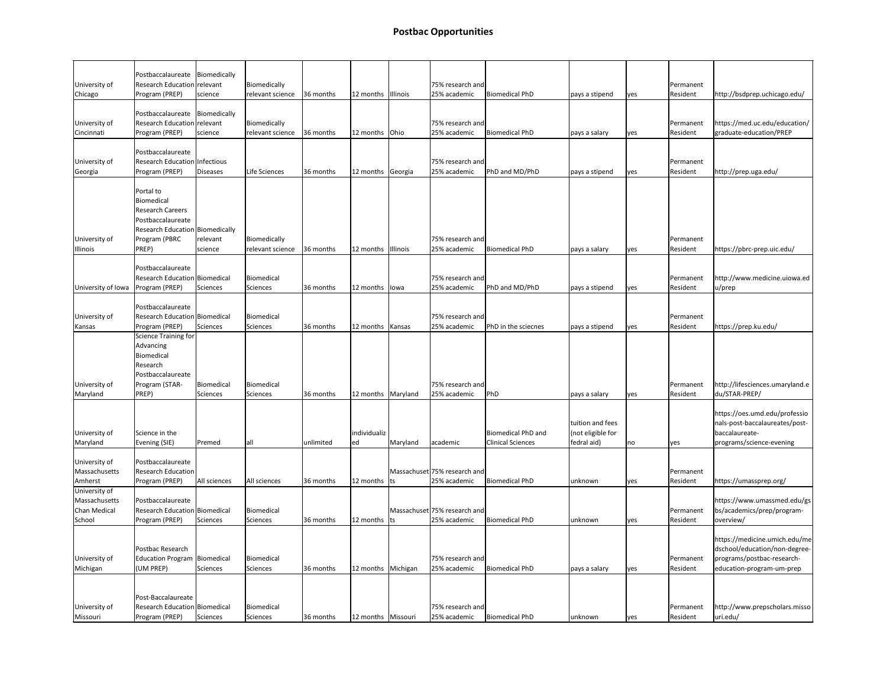|                     | Postbaccalaureate   Biomedically       |              |                  |           |                      |          |                              |                          |                   |      |           |                                 |
|---------------------|----------------------------------------|--------------|------------------|-----------|----------------------|----------|------------------------------|--------------------------|-------------------|------|-----------|---------------------------------|
| University of       | Research Education relevant            |              | Biomedically     |           |                      |          | 75% research and             |                          |                   |      | Permanent |                                 |
|                     |                                        |              |                  |           |                      |          |                              |                          |                   |      |           |                                 |
| Chicago             | Program (PREP)                         | science      | relevant science | 36 months | 12 months   Illinois |          | 25% academic                 | <b>Biomedical PhD</b>    | pays a stipend    | yes  | Resident  | http://bsdprep.uchicago.edu/    |
|                     | Postbaccalaureate Biomedically         |              |                  |           |                      |          |                              |                          |                   |      |           |                                 |
| University of       | Research Education relevant            |              | Biomedically     |           |                      |          | 75% research and             |                          |                   |      | Permanent | https://med.uc.edu/education/   |
|                     |                                        |              |                  | 36 months |                      |          |                              |                          |                   |      |           |                                 |
| Cincinnati          | Program (PREP)                         | science      | relevant science |           | 12 months Ohio       |          | 25% academic                 | <b>Biomedical PhD</b>    | pays a salary     | yes  | Resident  | graduate-education/PREP         |
|                     | Postbaccalaureate                      |              |                  |           |                      |          |                              |                          |                   |      |           |                                 |
| University of       | Research Education Infectious          |              |                  |           |                      |          | 75% research and             |                          |                   |      | Permanent |                                 |
|                     |                                        |              |                  |           |                      |          |                              |                          |                   |      |           |                                 |
| Georgia             | Program (PREP)                         | Diseases     | Life Sciences    | 36 months | 12 months Georgia    |          | 25% academic                 | PhD and MD/PhD           | pays a stipend    | yes  | Resident  | http://prep.uga.edu/            |
|                     | Portal to                              |              |                  |           |                      |          |                              |                          |                   |      |           |                                 |
|                     |                                        |              |                  |           |                      |          |                              |                          |                   |      |           |                                 |
|                     | Biomedical                             |              |                  |           |                      |          |                              |                          |                   |      |           |                                 |
|                     | Research Careers                       |              |                  |           |                      |          |                              |                          |                   |      |           |                                 |
|                     | Postbaccalaureate                      |              |                  |           |                      |          |                              |                          |                   |      |           |                                 |
|                     | <b>Research Education Biomedically</b> |              |                  |           |                      |          |                              |                          |                   |      |           |                                 |
| University of       | Program (PBRC                          | relevant     | Biomedically     |           |                      |          | 75% research and             |                          |                   |      | Permanent |                                 |
| Illinois            | PREP)                                  | science      | relevant science | 36 months | 12 months   Illinois |          | 25% academic                 | <b>Biomedical PhD</b>    | pays a salary     | lyes | Resident  | https://pbrc-prep.uic.edu/      |
|                     |                                        |              |                  |           |                      |          |                              |                          |                   |      |           |                                 |
|                     | Postbaccalaureate                      |              |                  |           |                      |          |                              |                          |                   |      |           |                                 |
|                     | <b>Research Education Biomedical</b>   |              | Biomedical       |           |                      |          | 75% research and             |                          |                   |      | Permanent | http://www.medicine.uiowa.ed    |
| University of Iowa  | Program (PREP)                         | Sciences     | Sciences         | 36 months | 12 months lowa       |          | 25% academic                 | PhD and MD/PhD           | pays a stipend    | yes  | Resident  | u/prep                          |
|                     |                                        |              |                  |           |                      |          |                              |                          |                   |      |           |                                 |
|                     | Postbaccalaureate                      |              |                  |           |                      |          |                              |                          |                   |      |           |                                 |
| University of       | Research Education Biomedical          |              | Biomedical       |           |                      |          | 75% research and             |                          |                   |      | Permanent |                                 |
| Kansas              | Program (PREP)                         | Sciences     | Sciences         | 36 months | 12 months   Kansas   |          | 25% academic                 | PhD in the sciecnes      | pays a stipend    | lyes | Resident  | https://prep.ku.edu/            |
|                     | Science Training for                   |              |                  |           |                      |          |                              |                          |                   |      |           |                                 |
|                     | Advancing                              |              |                  |           |                      |          |                              |                          |                   |      |           |                                 |
|                     |                                        |              |                  |           |                      |          |                              |                          |                   |      |           |                                 |
|                     | Biomedical                             |              |                  |           |                      |          |                              |                          |                   |      |           |                                 |
|                     | Research                               |              |                  |           |                      |          |                              |                          |                   |      |           |                                 |
|                     | Postbaccalaureate                      |              |                  |           |                      |          |                              |                          |                   |      |           |                                 |
| University of       | Program (STAR-                         | Biomedical   | Biomedical       |           |                      |          | 75% research and             |                          |                   |      | Permanent | http://lifesciences.umaryland.e |
| Maryland            | PREP)                                  | Sciences     | Sciences         | 36 months | 12 months   Maryland |          | 25% academic                 | PhD                      | pays a salary     | lyes | Resident  | du/STAR-PREP/                   |
|                     |                                        |              |                  |           |                      |          |                              |                          |                   |      |           |                                 |
|                     |                                        |              |                  |           |                      |          |                              |                          |                   |      |           | https://oes.umd.edu/professio   |
|                     |                                        |              |                  |           |                      |          |                              |                          | tuition and fees  |      |           | nals-post-baccalaureates/post-  |
| University of       | Science in the                         |              |                  |           | individualiz         |          |                              | Biomedical PhD and       | (not eligible for |      |           | baccalaureate-                  |
| Maryland            | Evening (SIE)                          | Premed       | lall             | unlimited | ed                   | Maryland | academic                     | <b>Clinical Sciences</b> | fedral aid)       | no   | yes       | programs/science-evening        |
|                     |                                        |              |                  |           |                      |          |                              |                          |                   |      |           |                                 |
| University of       | Postbaccalaureate                      |              |                  |           |                      |          |                              |                          |                   |      |           |                                 |
| Massachusetts       | <b>Research Education</b>              |              |                  |           |                      |          | Massachuset 75% research and |                          |                   |      | Permanent |                                 |
|                     |                                        |              |                  |           |                      |          |                              |                          |                   |      |           |                                 |
| Amherst             | Program (PREP)                         | All sciences | All sciences     | 36 months | 12 months $ ts $     |          | 25% academic                 | <b>Biomedical PhD</b>    | unknown           | yes  | Resident  | https://umassprep.org/          |
| University of       |                                        |              |                  |           |                      |          |                              |                          |                   |      |           |                                 |
| Massachusetts       | Postbaccalaureate                      |              |                  |           |                      |          |                              |                          |                   |      |           | https://www.umassmed.edu/gs     |
| <b>Chan Medical</b> | <b>Research Education Biomedical</b>   |              | Biomedical       |           |                      |          | Massachuset 75% research and |                          |                   |      | Permanent | bs/academics/prep/program-      |
| School              | Program (PREP)                         | Sciences     | Sciences         | 36 months | 12 months $ ts $     |          | 25% academic                 | <b>Biomedical PhD</b>    | unknown           | lyes | Resident  | overview/                       |
|                     |                                        |              |                  |           |                      |          |                              |                          |                   |      |           |                                 |
|                     |                                        |              |                  |           |                      |          |                              |                          |                   |      |           | https://medicine.umich.edu/me   |
|                     | Postbac Research                       |              |                  |           |                      |          |                              |                          |                   |      |           | dschool/education/non-degree-   |
| University of       | <b>Education Program   Biomedical</b>  |              | Biomedical       |           |                      |          | 75% research and             |                          |                   |      | Permanent | programs/postbac-research-      |
| Michigan            | (UM PREP)                              | Sciences     | Sciences         | 36 months | 12 months   Michigan |          | 25% academic                 | <b>Biomedical PhD</b>    | pays a salary     | lyes | Resident  | education-program-um-prep       |
|                     |                                        |              |                  |           |                      |          |                              |                          |                   |      |           |                                 |
|                     |                                        |              |                  |           |                      |          |                              |                          |                   |      |           |                                 |
|                     | Post-Baccalaureate                     |              |                  |           |                      |          |                              |                          |                   |      |           |                                 |
| University of       | Research Education Biomedical          |              | Biomedical       |           |                      |          | 75% research and             |                          |                   |      | Permanent | http://www.prepscholars.misso   |
| Missouri            | Program (PREP)                         | Sciences     | Sciences         | 36 months | 12 months   Missouri |          | 25% academic                 | <b>Biomedical PhD</b>    | unknown           |      | Resident  | uri.edu/                        |
|                     |                                        |              |                  |           |                      |          |                              |                          |                   | lyes |           |                                 |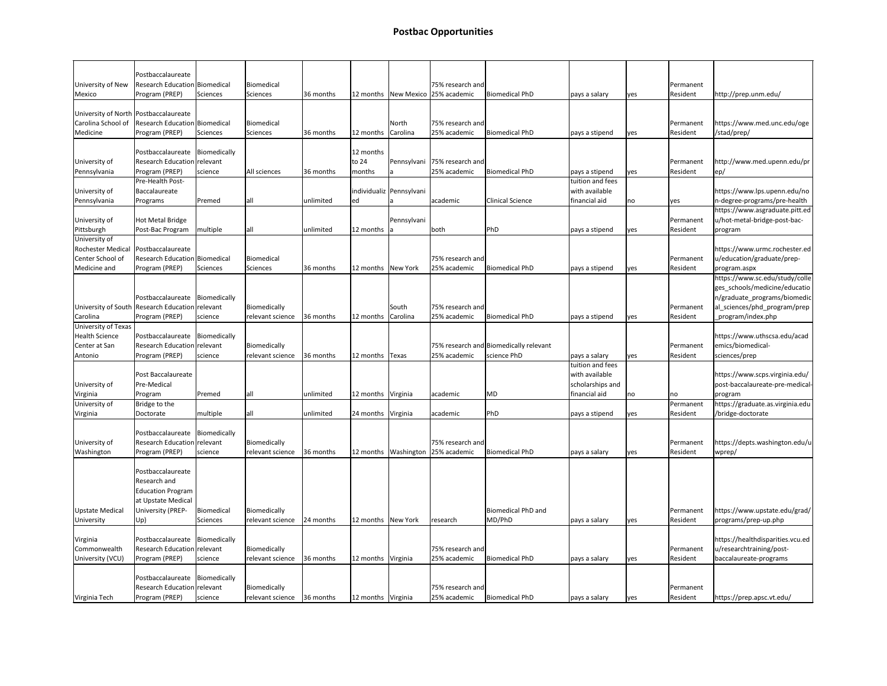## **Postbac Opportunities**

|                                 | Postbaccalaureate                               |              |                                  |           |                      |                            |                                       |                                        |                  |            |                       |                                  |
|---------------------------------|-------------------------------------------------|--------------|----------------------------------|-----------|----------------------|----------------------------|---------------------------------------|----------------------------------------|------------------|------------|-----------------------|----------------------------------|
| University of New<br>Mexico     | Research Education Biomedical<br>Program (PREP) | Sciences     | Biomedical<br>Sciences           | 36 months |                      | 12 months   New Mexico     | 75% research and<br>25% academic      | Biomedical PhD                         | pays a salary    |            | Permanent<br>Resident | http://prep.unm.edu/             |
|                                 |                                                 |              |                                  |           |                      |                            |                                       |                                        |                  | lyes       |                       |                                  |
|                                 | University of North   Postbaccalaureate         |              |                                  |           |                      |                            |                                       |                                        |                  |            |                       |                                  |
| Carolina School of              | Research Education Biomedical                   |              | Biomedical                       |           |                      | North                      | 75% research and                      |                                        |                  |            | Permanent             | https://www.med.unc.edu/oge      |
| Medicine                        | Program (PREP)                                  | Sciences     | Sciences                         | 36 months | 12 months            | Carolina                   | 25% academic                          | Biomedical PhD                         | pays a stipend   | <b>ves</b> | Resident              | /stad/prep/                      |
|                                 |                                                 |              |                                  |           |                      |                            |                                       |                                        |                  |            |                       |                                  |
|                                 | Postbaccalaureate Biomedically                  |              |                                  |           | 12 months            |                            |                                       |                                        |                  |            |                       |                                  |
| University of                   | <b>Research Education</b>                       | relevant     |                                  |           | to 24                | Pennsylvani                | 75% research and                      |                                        |                  |            | Permanent             | http://www.med.upenn.edu/pr      |
| Pennsylvania                    | Program (PREP)                                  | science      | All sciences                     | 36 months | months               |                            | 25% academic                          | Biomedical PhD                         | pays a stipend   | <b>ves</b> | Resident              | ep/                              |
|                                 | Pre-Health Post-                                |              |                                  |           |                      |                            |                                       |                                        | tuition and fees |            |                       |                                  |
| University of                   | Baccalaureate                                   |              |                                  |           |                      | individualiz   Pennsylvani |                                       |                                        | with available   |            |                       | https://www.lps.upenn.edu/no     |
| Pennsylvania                    | Programs                                        | Premed       | all                              | unlimited | ed                   |                            | academic                              | <b>Clinical Science</b>                | financial aid    | no         | lyes                  | n-degree-programs/pre-health     |
|                                 |                                                 |              |                                  |           |                      |                            |                                       |                                        |                  |            |                       | https://www.asgraduate.pitt.ed   |
| University of                   | <b>Hot Metal Bridge</b>                         |              |                                  |           |                      | Pennsylvani                |                                       |                                        |                  |            | Permanent             | u/hot-metal-bridge-post-bac-     |
| Pittsburgh                      | Post-Bac Program                                | multiple     | all                              | unlimited | 12 months $ a $      |                            | both                                  | PhD                                    | pays a stipend   | <b>ves</b> | Resident              | program                          |
| University of                   |                                                 |              |                                  |           |                      |                            |                                       |                                        |                  |            |                       |                                  |
| <b>Rochester Medical</b>        | Postbaccalaureate                               |              |                                  |           |                      |                            |                                       |                                        |                  |            |                       | https://www.urmc.rochester.ed    |
| Center School of                | <b>Research Education Biomedical</b>            |              | Biomedical                       |           |                      |                            | 75% research and                      |                                        |                  |            | Permanent             | u/education/graduate/prep-       |
| Medicine and                    | Program (PREP)                                  | Sciences     | Sciences                         | 36 months | 12 months   New York |                            | 25% academic                          | Biomedical PhD                         | pays a stipend   | lyes       | Resident              | program.aspx                     |
|                                 |                                                 |              |                                  |           |                      |                            |                                       |                                        |                  |            |                       | https://www.sc.edu/study/colle   |
|                                 | Postbaccalaureate Biomedically                  |              |                                  |           |                      |                            |                                       |                                        |                  |            |                       | ges_schools/medicine/educatio    |
| University of South             | Research Education relevant                     |              |                                  |           |                      | lSouth                     | 75% research and                      |                                        |                  |            | Permanent             | n/graduate_programs/biomedic     |
|                                 | Program (PREP)                                  |              | Biomedically<br>relevant science | 36 months |                      |                            | 25% academic                          | Biomedical PhD                         |                  |            | Resident              | al_sciences/phd_program/prep     |
| Carolina<br>University of Texas |                                                 | science      |                                  |           | 12 months   Carolina |                            |                                       |                                        | pays a stipend   | lyes       |                       | program/index.php_               |
| <b>Health Science</b>           | Postbaccalaureate Biomedically                  |              |                                  |           |                      |                            |                                       |                                        |                  |            |                       | https://www.uthscsa.edu/acad     |
| Center at San                   | Research Education relevant                     |              | Biomedically                     |           |                      |                            |                                       | 75% research and Biomedically relevant |                  |            | Permanent             | emics/biomedical-                |
| Antonio                         | Program (PREP)                                  | science      | relevant science                 | 36 months | 12 months   Texas    |                            | 25% academic                          | science PhD                            | pays a salary    | lyes       | Resident              | sciences/prep                    |
|                                 |                                                 |              |                                  |           |                      |                            |                                       |                                        | tuition and fees |            |                       |                                  |
|                                 | <b>Post Baccalaureate</b>                       |              |                                  |           |                      |                            |                                       |                                        | with available   |            |                       | https://www.scps.virginia.edu/   |
| University of                   | Pre-Medical                                     |              |                                  |           |                      |                            |                                       |                                        | scholarships and |            |                       | post-baccalaureate-pre-medical-  |
| Virginia                        | Program                                         | Premed       | all                              | unlimited | 12 months Virginia   |                            | academic                              | MD                                     | financial aid    | no         | no                    | program                          |
| University of                   | Bridge to the                                   |              |                                  |           |                      |                            |                                       |                                        |                  |            | Permanent             | https://graduate.as.virginia.edu |
| Virginia                        | Doctorate                                       | multiple     | lall                             | unlimited | 24 months Virginia   |                            | academic                              | PhD                                    | pays a stipend   | lyes       | Resident              | /bridge-doctorate                |
|                                 |                                                 |              |                                  |           |                      |                            |                                       |                                        |                  |            |                       |                                  |
|                                 | Postbaccalaureate Biomedically                  |              |                                  |           |                      |                            |                                       |                                        |                  |            |                       |                                  |
| University of                   | <b>Research Education relevant</b>              |              | Biomedically                     |           |                      |                            | 75% research and                      |                                        |                  |            | Permanent             | https://depts.washington.edu/u   |
| Washington                      | Program (PREP)                                  | science      | relevant science                 | 36 months |                      |                            | 12 months   Washington   25% academic | Biomedical PhD                         | pays a salary    | lyes       | Resident              | wprep/                           |
|                                 |                                                 |              |                                  |           |                      |                            |                                       |                                        |                  |            |                       |                                  |
|                                 | Postbaccalaureate                               |              |                                  |           |                      |                            |                                       |                                        |                  |            |                       |                                  |
|                                 | Research and                                    |              |                                  |           |                      |                            |                                       |                                        |                  |            |                       |                                  |
|                                 | <b>Education Program</b>                        |              |                                  |           |                      |                            |                                       |                                        |                  |            |                       |                                  |
|                                 | at Upstate Medical                              |              |                                  |           |                      |                            |                                       |                                        |                  |            |                       |                                  |
| <b>Upstate Medical</b>          | University (PREP-                               | Biomedical   | Biomedically                     |           |                      |                            |                                       | Biomedical PhD and                     |                  |            | Permanent             | https://www.upstate.edu/grad/    |
| University                      | Up)                                             | Sciences     | relevant science                 | 24 months | 12 months   New York |                            | research                              | MD/PhD                                 | pays a salary    | lyes       | Resident              | programs/prep-up.php             |
|                                 |                                                 |              |                                  |           |                      |                            |                                       |                                        |                  |            |                       |                                  |
| Virginia                        | Postbaccalaureate                               | Biomedically |                                  |           |                      |                            |                                       |                                        |                  |            |                       | https://healthdisparities.vcu.ed |
| Commonwealth                    | <b>Research Education relevant</b>              |              | Biomedically                     |           |                      |                            | 75% research and                      |                                        |                  |            | Permanent             | u/researchtraining/post-         |
| University (VCU)                | Program (PREP)                                  | science      | relevant science                 | 36 months | 12 months   Virginia |                            | 25% academic                          | Biomedical PhD                         | pays a salary    | yes        | Resident              | baccalaureate-programs           |
|                                 |                                                 |              |                                  |           |                      |                            |                                       |                                        |                  |            |                       |                                  |
|                                 | Postbaccalaureate Biomedically                  |              |                                  |           |                      |                            |                                       |                                        |                  |            |                       |                                  |
|                                 | <b>Research Education relevant</b>              |              | Biomedically                     |           |                      |                            | 75% research and                      |                                        |                  |            | Permanent             |                                  |
| Virginia Tech                   | Program (PREP)                                  | science      | relevant science                 | 36 months | 12 months   Virginia |                            | 25% academic                          | Biomedical PhD                         | pays a salary    | yes        | Resident              | https://prep.apsc.vt.edu/        |